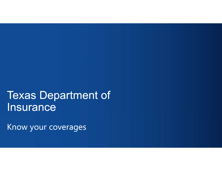# Texas Department of Insurance

Know your coverages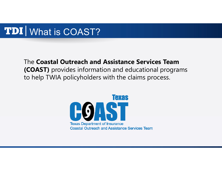### What is COAST?

#### The **Coastal Outreach and Assistance Services Team (COAST)** provides information and educational programs to help TWIA policyholders with the claims process.

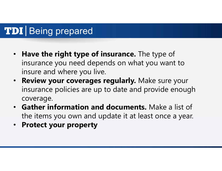## **TDI** Being prepared

- **Have the right type of insurance.** The type of insurance you need depends on what you want to insure and where you live.
- **Review your coverages regularly.** Make sure your insurance policies are up to date and provide enough coverage.
- **Gather information and documents.** Make a list of the items you own and update it at least once a year.
- **Protect your property**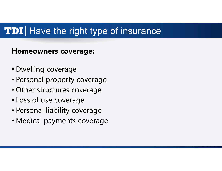#### **Homeowners coverage:**

- Dwelling coverage
- Personal property coverage
- Other structures coverage
- Loss of use coverage
- Personal liability coverage
- Medical payments coverage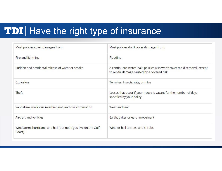| Most policies cover damages from:                                         | Most policies don't cover damages from:                                                                              |
|---------------------------------------------------------------------------|----------------------------------------------------------------------------------------------------------------------|
| Fire and lightning                                                        | Flooding                                                                                                             |
| Sudden and accidental release of water or smoke                           | A continuous water leak; policies also won't cover mold removal, except<br>to repair damage caused by a covered risk |
| Explosion                                                                 | Termites, insects, rats, or mice                                                                                     |
| Theft                                                                     | Losses that occur if your house is vacant for the number of days<br>specified by your policy                         |
| Vandalism, malicious mischief, riot, and civil commotion                  | Wear and tear                                                                                                        |
| Aircraft and vehicles                                                     | Earthquakes or earth movement                                                                                        |
| Windstorm, hurricane, and hail (but not if you live on the Gulf<br>Coast) | Wind or hail to trees and shrubs                                                                                     |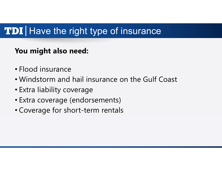#### **You might also need:**

- Flood insurance
- Windstorm and hail insurance on the Gulf Coast
- Extra liability coverage
- Extra coverage (endorsements)
- Coverage for short-term rentals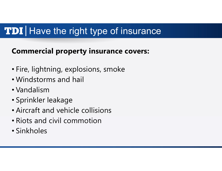#### **Commercial property insurance covers:**

- Fire, lightning, explosions, smoke
- Windstorms and hail
- Vandalism
- Sprinkler leakage
- Aircraft and vehicle collisions
- Riots and civil commotion
- Sinkholes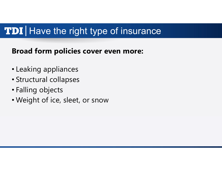#### **Broad form policies cover even more:**

- Leaking appliances
- Structural collapses
- Falling objects
- Weight of ice, sleet, or snow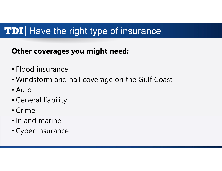#### **Other coverages you might need:**

- Flood insurance
- Windstorm and hail coverage on the Gulf Coast
- Auto
- General liability
- Crime
- Inland marine
- Cyber insurance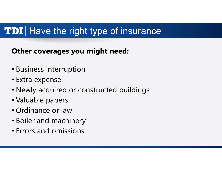#### **Other coverages you might need:**

- Business interruption
- Extra expense
- Newly acquired or constructed buildings
- Valuable papers
- Ordinance or law
- Boiler and machinery
- Errors and omissions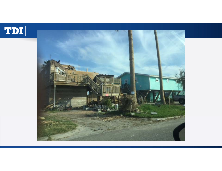

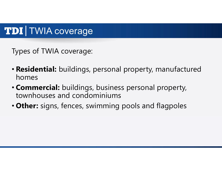### TDI | TWIA coverage

Types of TWIA coverage:

- **Residential:** buildings, personal property, manufactured homes
- **Commercial:** buildings, business personal property, townhouses and condominiums
- **Other:** signs, fences, swimming pools and flagpoles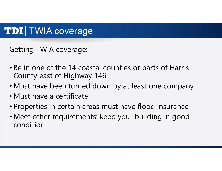### **TDI** TWIA coverage

Getting TWIA coverage:

- Be in one of the 14 coastal counties or parts of Harris County east of Highway 146
- Must have been turned down by at least one company
- Must have a certificate
- Properties in certain areas must have flood insurance
- Meet other requirements: keep your building in good condition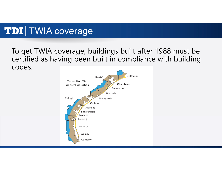## TDI TWIA coverage

#### To get TWIA coverage, buildings built after 1988 must be certified as having been built in compliance with building codes.

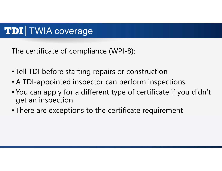### TDI | TWIA coverage

The certificate of compliance (WPI-8):

- Tell TDI before starting repairs or construction
- A TDI-appointed inspector can perform inspections
- You can apply for a different type of certificate if you didn't get an inspection
- There are exceptions to the certificate requirement